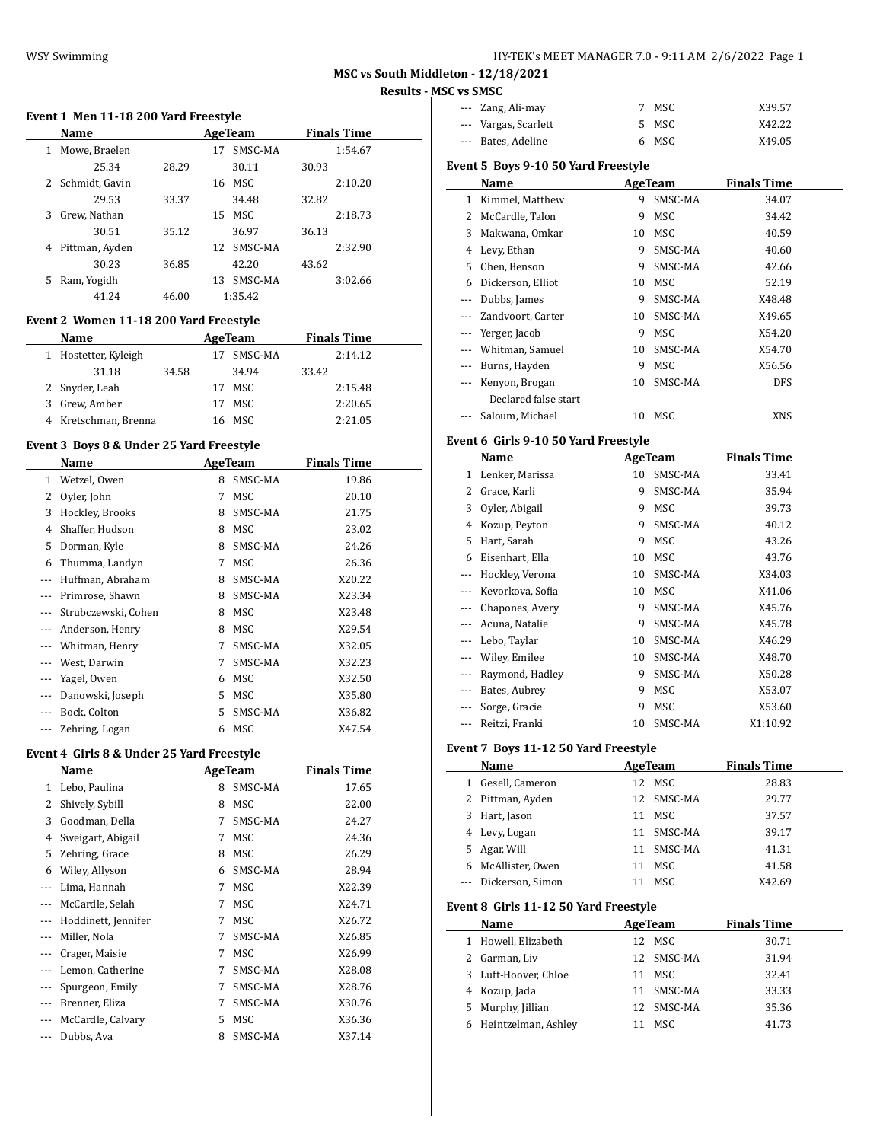| HY-TEK's MEET MANAGER 7.0 - 9:11 AM 2/6/2022 Page 1 |  |  |
|-----------------------------------------------------|--|--|
|-----------------------------------------------------|--|--|

#### **Event 1 Men 11-18 200 Yard Freestyle**

|   | <b>Name</b>      |       |    | AgeTeam |       | <b>Finals Time</b> |
|---|------------------|-------|----|---------|-------|--------------------|
| 1 | Mowe, Braelen    |       | 17 | SMSC-MA |       | 1:54.67            |
|   | 25.34            | 28.29 |    | 30.11   | 30.93 |                    |
|   | 2 Schmidt, Gavin |       | 16 | MSC.    |       | 2:10.20            |
|   | 29.53            | 33.37 |    | 34.48   | 32.82 |                    |
| 3 | Grew. Nathan     |       | 15 | MSC     |       | 2:18.73            |
|   | 30.51            | 35.12 |    | 36.97   | 36.13 |                    |
| 4 | Pittman, Ayden   |       | 12 | SMSC-MA |       | 2:32.90            |
|   | 30.23            | 36.85 |    | 42.20   | 43.62 |                    |
| 5 | Ram, Yogidh      |       | 13 | SMSC-MA |       | 3:02.66            |
|   | 41.24            | 46.00 |    | 1:35.42 |       |                    |

### **Event 2 Women 11-18 200 Yard Freestyle**

|   | <b>Name</b>          |       |    | AgeTeam | <b>Finals Time</b> |  |
|---|----------------------|-------|----|---------|--------------------|--|
|   | 1 Hostetter, Kyleigh |       | 17 | SMSC-MA | 2:14.12            |  |
|   | 31.18                | 34.58 |    | 34.94   | 33.42              |  |
|   | 2 Snyder, Leah       |       | 17 | MSC.    | 2:15.48            |  |
| 3 | Grew, Amber          |       |    | 17 MSC  | 2:20.65            |  |
|   | 4 Kretschman, Brenna |       |    | 16 MSC  | 2:21.05            |  |

#### **Event 3 Boys 8 & Under 25 Yard Freestyle**

 $\overline{a}$ 

|     | Name                |    | AgeTeam    | <b>Finals Time</b> |  |
|-----|---------------------|----|------------|--------------------|--|
| 1   | Wetzel, Owen        | 8  | SMSC-MA    | 19.86              |  |
| 2   | Oyler, John         | 7  | MSC        | 20.10              |  |
| 3   | Hockley, Brooks     | 8  | SMSC-MA    | 21.75              |  |
| 4   | Shaffer, Hudson     | 8  | MSC        | 23.02              |  |
| 5   | Dorman, Kyle        | 8  | SMSC-MA    | 24.26              |  |
| 6   | Thumma, Landyn      | 7  | MSC        | 26.36              |  |
| --- | Huffman, Abraham    | 8  | SMSC-MA    | X20.22             |  |
|     | Primrose, Shawn     | 8  | SMSC-MA    | X23.34             |  |
|     | Strubczewski, Cohen | 8  | MSC        | X23.48             |  |
|     | Anderson, Henry     | 8  | MSC        | X29.54             |  |
|     | Whitman, Henry      | 7  | SMSC-MA    | X32.05             |  |
|     | West, Darwin        | 7  | SMSC-MA    | X32.23             |  |
|     | Yagel, Owen         | 6  | MSC        | X32.50             |  |
|     | Danowski, Joseph    | 5. | MSC        | X35.80             |  |
|     | Bock, Colton        | 5  | SMSC-MA    | X36.82             |  |
|     | Zehring, Logan      | 6  | <b>MSC</b> | X47.54             |  |

#### **Event 4 Girls 8 & Under 25 Yard Freestyle**

|          | Name                |   | AgeTeam | <b>Finals Time</b> |
|----------|---------------------|---|---------|--------------------|
| 1        | Lebo, Paulina       | 8 | SMSC-MA | 17.65              |
| 2        | Shively, Sybill     | 8 | MSC     | 22.00              |
| 3        | Goodman, Della      | 7 | SMSC-MA | 24.27              |
| 4        | Sweigart, Abigail   | 7 | MSC     | 24.36              |
| 5        | Zehring, Grace      | 8 | MSC     | 26.29              |
| 6        | Wiley, Allyson      | 6 | SMSC-MA | 28.94              |
|          | Lima, Hannah        | 7 | MSC     | X22.39             |
|          | McCardle, Selah     | 7 | MSC     | X24.71             |
| $\cdots$ | Hoddinett, Jennifer | 7 | MSC     | X26.72             |
|          | Miller, Nola        | 7 | SMSC-MA | X26.85             |
|          | Crager, Maisie      | 7 | MSC     | X26.99             |
|          | Lemon, Catherine    | 7 | SMSC-MA | X28.08             |
|          | Spurgeon, Emily     | 7 | SMSC-MA | X28.76             |
|          | Brenner, Eliza      | 7 | SMSC-MA | X30.76             |
|          | McCardle, Calvary   | 5 | MSC     | X36.36             |
|          | Dubbs, Ava          | 8 | SMSC-MA | X37.14             |

| --- Zang, Ali-may    | MSC   | X39.57 |  |
|----------------------|-------|--------|--|
| --- Vargas, Scarlett | 5 MSC | X42.22 |  |
| --- Bates, Adeline   | 6 MSC | X49.05 |  |

### **Event 5 Boys 9-10 50 Yard Freestyle**

| Name |                      |    | AgeTeam    | <b>Finals Time</b> |  |  |
|------|----------------------|----|------------|--------------------|--|--|
| 1    | Kimmel, Matthew      | 9  | SMSC-MA    | 34.07              |  |  |
| 2    | McCardle, Talon      | 9  | MSC        | 34.42              |  |  |
| 3    | Makwana, Omkar       | 10 | <b>MSC</b> | 40.59              |  |  |
| 4    | Levy, Ethan          | 9  | SMSC-MA    | 40.60              |  |  |
| 5.   | Chen, Benson         | 9  | SMSC-MA    | 42.66              |  |  |
| 6    | Dickerson, Elliot    | 10 | MSC        | 52.19              |  |  |
|      | Dubbs, James         | 9  | SMSC-MA    | X48.48             |  |  |
|      | Zandvoort, Carter    | 10 | SMSC-MA    | X49.65             |  |  |
|      | Yerger, Jacob        | 9  | MSC        | X54.20             |  |  |
|      | Whitman, Samuel      | 10 | SMSC-MA    | X54.70             |  |  |
|      | Burns, Hayden        | 9  | <b>MSC</b> | X56.56             |  |  |
|      | Kenyon, Brogan       | 10 | SMSC-MA    | <b>DFS</b>         |  |  |
|      | Declared false start |    |            |                    |  |  |
|      | Saloum, Michael      | 10 | MSC        | XNS                |  |  |

### **Event 6 Girls 9-10 50 Yard Freestyle**

|          | Name             |    | <b>AgeTeam</b> | <b>Finals Time</b> |  |
|----------|------------------|----|----------------|--------------------|--|
| 1        | Lenker, Marissa  | 10 | SMSC-MA        | 33.41              |  |
| 2        | Grace, Karli     | 9  | SMSC-MA        | 35.94              |  |
| 3        | Oyler, Abigail   | 9  | MSC            | 39.73              |  |
| 4        | Kozup, Peyton    | 9  | SMSC-MA        | 40.12              |  |
| 5        | Hart, Sarah      | 9  | MSC            | 43.26              |  |
| 6        | Eisenhart, Ella  | 10 | MSC            | 43.76              |  |
|          | Hockley, Verona  | 10 | SMSC-MA        | X34.03             |  |
| $---$    | Kevorkova, Sofia | 10 | MSC            | X41.06             |  |
|          | Chapones, Avery  | 9  | SMSC-MA        | X45.76             |  |
|          | Acuna, Natalie   | 9  | SMSC-MA        | X45.78             |  |
|          | Lebo, Taylar     | 10 | SMSC-MA        | X46.29             |  |
| $\cdots$ | Wiley, Emilee    | 10 | SMSC-MA        | X48.70             |  |
| ---      | Raymond, Hadley  | 9  | SMSC-MA        | X50.28             |  |
| ---      | Bates, Aubrey    | 9  | MSC            | X53.07             |  |
|          | Sorge, Gracie    | 9  | MSC            | X53.60             |  |
|          | Reitzi, Franki   | 10 | SMSC-MA        | X1:10.92           |  |

### **Event 7 Boys 11-12 50 Yard Freestyle**

|     | Name                                  |    | AgeTeam        | <b>Finals Time</b> |
|-----|---------------------------------------|----|----------------|--------------------|
| 1   | Gesell, Cameron                       | 12 | MSC            | 28.83              |
| 2   | Pittman, Ayden                        | 12 | SMSC-MA        | 29.77              |
| 3   | Hart, Jason                           | 11 | MSC            | 37.57              |
| 4   | Levy, Logan                           | 11 | SMSC-MA        | 39.17              |
| 5.  | Agar, Will                            | 11 | SMSC-MA        | 41.31              |
| 6   | McAllister, Owen                      | 11 | MSC            | 41.58              |
| --- | Dickerson, Simon                      | 11 | MSC            | X42.69             |
|     | Event 8 Girls 11-12 50 Yard Freestyle |    |                |                    |
|     |                                       |    |                |                    |
|     | Name                                  |    | <b>AgeTeam</b> | <b>Finals Time</b> |
| 1   | Howell, Elizabeth                     |    | 12 MSC         | 30.71              |
| 2   | Garman, Liv                           | 12 | SMSC-MA        | 31.94              |
| 3   | Luft-Hoover, Chloe                    | 11 | MSC            | 32.41              |
| 4   | Kozup, Jada                           | 11 | SMSC-MA        | 33.33              |
| 5   | Murphy, Jillian                       | 12 | SMSC-MA        | 35.36              |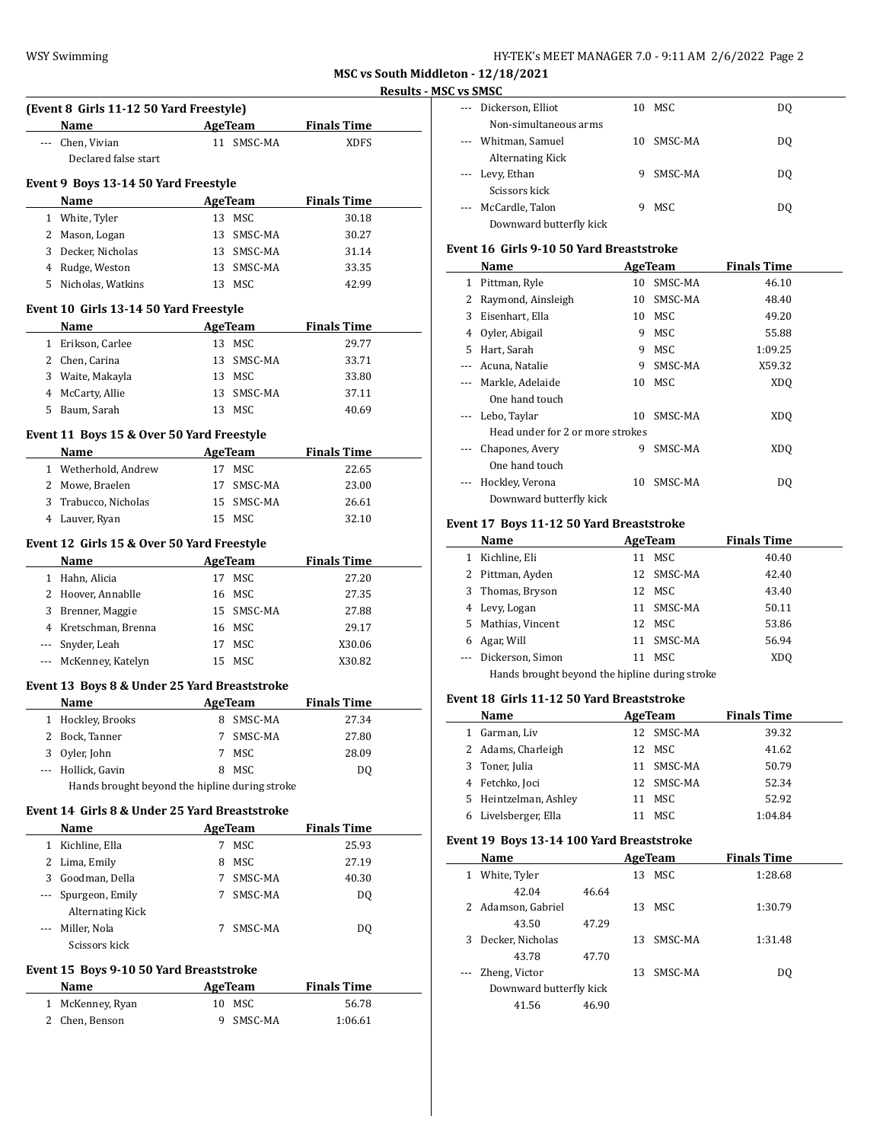**MSC vs South Middleton - 12/18/2021**

|           |                                                                                                                                                                                                                               |                          |                |                    | <b>Results -</b> |
|-----------|-------------------------------------------------------------------------------------------------------------------------------------------------------------------------------------------------------------------------------|--------------------------|----------------|--------------------|------------------|
|           | (Event 8 Girls 11-12 50 Yard Freestyle)                                                                                                                                                                                       |                          |                |                    |                  |
|           | Name and the same state of the state of the state of the state of the state of the state of the state of the state of the state of the state of the state of the state of the state of the state of the state of the state of |                          | AgeTeam        | <b>Finals Time</b> |                  |
|           | --- Chen, Vivian                                                                                                                                                                                                              |                          | 11 SMSC-MA     | <b>XDFS</b>        |                  |
|           | Declared false start                                                                                                                                                                                                          |                          |                |                    |                  |
|           | Event 9 Boys 13-14 50 Yard Freestyle                                                                                                                                                                                          |                          |                |                    |                  |
|           | <b>Name</b>                                                                                                                                                                                                                   | <b>Example 2</b> AgeTeam |                | <b>Finals Time</b> |                  |
|           | 1 White, Tyler                                                                                                                                                                                                                |                          | 13 MSC         | 30.18              |                  |
|           | 2 Mason, Logan                                                                                                                                                                                                                |                          | 13 SMSC-MA     | 30.27              |                  |
|           | 3 Decker, Nicholas                                                                                                                                                                                                            |                          | 13 SMSC-MA     | 31.14              |                  |
|           | 4 Rudge, Weston                                                                                                                                                                                                               |                          | 13 SMSC-MA     | 33.35              |                  |
|           | 5 Nicholas, Watkins                                                                                                                                                                                                           |                          | 13 MSC         | 42.99              |                  |
|           |                                                                                                                                                                                                                               |                          |                |                    |                  |
|           | Event 10 Girls 13-14 50 Yard Freestyle                                                                                                                                                                                        |                          |                |                    |                  |
|           | Name                                                                                                                                                                                                                          |                          | <b>AgeTeam</b> | <b>Finals Time</b> |                  |
|           | 1 Erikson, Carlee                                                                                                                                                                                                             |                          | 13 MSC         | 29.77              |                  |
|           | 2 Chen, Carina                                                                                                                                                                                                                |                          | 13 SMSC-MA     | 33.71              |                  |
|           | 3 Waite, Makayla                                                                                                                                                                                                              |                          | 13 MSC         | 33.80              |                  |
|           | 4 McCarty, Allie                                                                                                                                                                                                              |                          | 13 SMSC-MA     | 37.11              |                  |
|           | 5 Baum, Sarah                                                                                                                                                                                                                 |                          | 13 MSC         | 40.69              |                  |
|           | Event 11 Boys 15 & Over 50 Yard Freestyle                                                                                                                                                                                     |                          |                |                    |                  |
|           | Name AgeTeam                                                                                                                                                                                                                  |                          |                | <b>Finals Time</b> |                  |
|           | 1 Wetherhold, Andrew                                                                                                                                                                                                          |                          | 17 MSC         | 22.65              |                  |
|           | 2 Mowe, Braelen                                                                                                                                                                                                               |                          | 17 SMSC-MA     | 23.00              |                  |
|           | 3 Trabucco, Nicholas                                                                                                                                                                                                          |                          | 15 SMSC-MA     | 26.61              |                  |
|           | 4 Lauver, Ryan                                                                                                                                                                                                                |                          | 15 MSC         | 32.10              |                  |
|           |                                                                                                                                                                                                                               |                          |                |                    |                  |
|           | Event 12 Girls 15 & Over 50 Yard Freestyle                                                                                                                                                                                    |                          |                |                    |                  |
|           | Name                                                                                                                                                                                                                          |                          | AgeTeam        | <b>Finals Time</b> |                  |
|           | 1 Hahn, Alicia                                                                                                                                                                                                                |                          | 17 MSC         | 27.20              |                  |
|           | 2 Hoover, Annablle                                                                                                                                                                                                            |                          | 16 MSC         | 27.35              |                  |
|           | 3 Brenner, Maggie                                                                                                                                                                                                             |                          | 15 SMSC-MA     | 27.88              |                  |
|           | 4 Kretschman, Brenna                                                                                                                                                                                                          |                          | 16 MSC         | 29.17              |                  |
|           | --- Snyder, Leah                                                                                                                                                                                                              |                          | 17 MSC         | X30.06             |                  |
|           | --- McKenney, Katelyn                                                                                                                                                                                                         |                          | 15 MSC         | X30.82             |                  |
|           | Event 13 Boys 8 & Under 25 Yard Breaststroke                                                                                                                                                                                  |                          |                |                    |                  |
|           | Name                                                                                                                                                                                                                          |                          | <b>AgeTeam</b> | <b>Finals Time</b> |                  |
|           | 1 Hockley, Brooks                                                                                                                                                                                                             |                          | 8 SMSC-MA      | 27.34              |                  |
|           | 2 Bock, Tanner                                                                                                                                                                                                                | 7                        | SMSC-MA        | 27.80              |                  |
|           | 3 Oyler, John                                                                                                                                                                                                                 | 7                        | MSC            | 28.09              |                  |
|           | --- Hollick, Gavin                                                                                                                                                                                                            | 8                        | MSC            | DQ                 |                  |
|           | Hands brought beyond the hipline during stroke                                                                                                                                                                                |                          |                |                    |                  |
|           | Event 14 Girls 8 & Under 25 Yard Breaststroke                                                                                                                                                                                 |                          |                |                    |                  |
|           | Name                                                                                                                                                                                                                          |                          | AgeTeam        | <b>Finals Time</b> |                  |
|           | 1 Kichline, Ella                                                                                                                                                                                                              | 7                        | MSC            | 25.93              |                  |
|           | 2 Lima, Emily                                                                                                                                                                                                                 | 8                        | MSC            | 27.19              |                  |
|           | 3 Goodman, Della                                                                                                                                                                                                              | 7 <sup>7</sup>           | SMSC-MA        | 40.30              |                  |
|           | --- Spurgeon, Emily                                                                                                                                                                                                           | 7                        | SMSC-MA        | DQ                 |                  |
|           | <b>Alternating Kick</b>                                                                                                                                                                                                       |                          |                |                    |                  |
|           | --- Miller, Nola                                                                                                                                                                                                              | 7                        | SMSC-MA        | DQ                 |                  |
|           | Scissors kick                                                                                                                                                                                                                 |                          |                |                    |                  |
|           | Event 15 Boys 9-10 50 Yard Breaststroke                                                                                                                                                                                       |                          |                |                    |                  |
|           | Name                                                                                                                                                                                                                          |                          | <b>AgeTeam</b> | <b>Finals Time</b> |                  |
| $1 \quad$ | McKenney, Ryan                                                                                                                                                                                                                | 10                       | MSC            | 56.78              |                  |
|           | 2 Chen, Benson                                                                                                                                                                                                                | 9                        | SMSC-MA        | 1:06.61            |                  |
|           |                                                                                                                                                                                                                               |                          |                |                    |                  |

| <b>MSC vs SMSC</b>                                                                             |                         |    |         |     |
|------------------------------------------------------------------------------------------------|-------------------------|----|---------|-----|
| $\frac{1}{2} \left( \frac{1}{2} \right) \left( \frac{1}{2} \right) \left( \frac{1}{2} \right)$ | Dickerson, Elliot       |    | 10 MSC  | DQ  |
|                                                                                                | Non-simultaneous arms   |    |         |     |
|                                                                                                | --- Whitman, Samuel     | 10 | SMSC-MA | DQ  |
|                                                                                                | Alternating Kick        |    |         |     |
|                                                                                                | --- Levy, Ethan         | 9  | SMSC-MA | DQ  |
|                                                                                                | Scissors kick           |    |         |     |
|                                                                                                | --- McCardle, Talon     | 9  | MSC     | DO. |
|                                                                                                | Downward butterfly kick |    |         |     |

#### **Event 16 Girls 9-10 50 Yard Breaststroke**

|          | Name                             | AgeTeam |         | <b>Finals Time</b> |
|----------|----------------------------------|---------|---------|--------------------|
| 1        | Pittman, Ryle                    | 10      | SMSC-MA | 46.10              |
| 2        | Raymond, Ainsleigh               | 10      | SMSC-MA | 48.40              |
| 3        | Eisenhart, Ella                  | 10      | MSC     | 49.20              |
| 4        | Oyler, Abigail                   | 9       | MSC     | 55.88              |
| 5.       | Hart, Sarah                      | 9       | MSC     | 1:09.25            |
| $---$    | Acuna, Natalie                   | 9       | SMSC-MA | X59.32             |
|          | Markle, Adelaide                 | 10      | MSC     | XD <sub>O</sub>    |
|          | One hand touch                   |         |         |                    |
|          | Lebo, Taylar                     | 10      | SMSC-MA | XD <sub>O</sub>    |
|          | Head under for 2 or more strokes |         |         |                    |
|          | Chapones, Avery                  | 9       | SMSC-MA | XD <sub>O</sub>    |
|          | One hand touch                   |         |         |                    |
| $\cdots$ | Hockley, Verona                  | 10      | SMSC-MA | DO.                |
|          | Downward butterfly kick          |         |         |                    |

# **Event 17 Boys 11-12 50 Yard Breaststroke**

|    | Name                                           | AgeTeam |            | <b>Finals Time</b> |  |  |  |  |  |
|----|------------------------------------------------|---------|------------|--------------------|--|--|--|--|--|
|    | Kichline, Eli                                  | 11      | MSC        | 40.40              |  |  |  |  |  |
|    | Pittman, Ayden                                 |         | 12 SMSC-MA | 42.40              |  |  |  |  |  |
| 3  | Thomas, Bryson                                 | 12      | MSC        | 43.40              |  |  |  |  |  |
| 4  | Levy, Logan                                    |         | 11 SMSC-MA | 50.11              |  |  |  |  |  |
| 5. | Mathias, Vincent                               |         | 12 MSC     | 53.86              |  |  |  |  |  |
| 6  | Agar, Will                                     | 11      | SMSC-MA    | 56.94              |  |  |  |  |  |
|    | Dickerson, Simon                               |         | MSC        | XD <sub>0</sub>    |  |  |  |  |  |
|    | Hands brought beyond the hipline during stroke |         |            |                    |  |  |  |  |  |

# **Event 18 Girls 11-12 50 Yard Breaststroke**

|   | Name                  | AgeTeam |            | <b>Finals Time</b> |
|---|-----------------------|---------|------------|--------------------|
| 1 | Garman, Liv           |         | 12 SMSC-MA | 39.32              |
|   | 2 Adams, Charleigh    |         | 12 MSC     | 41.62              |
|   | 3 Toner, Julia        |         | 11 SMSC-MA | 50.79              |
|   | 4 Fetchko, Joci       |         | 12 SMSC-MA | 52.34              |
|   | 5 Heintzelman, Ashley |         | 11 MSC     | 52.92              |
|   | Livelsberger, Ella    |         | MSC        | 1:04.84            |

### **Event 19 Boys 13-14 100 Yard Breaststroke**

|          | Name                    |       |    | AgeTeam | <b>Finals Time</b> |  |
|----------|-------------------------|-------|----|---------|--------------------|--|
| 1        | White, Tyler            |       |    | 13 MSC  | 1:28.68            |  |
|          | 42.04                   | 46.64 |    |         |                    |  |
|          | 2 Adamson, Gabriel      |       | 13 | MSC.    | 1:30.79            |  |
|          | 43.50                   | 47.29 |    |         |                    |  |
| 3        | Decker, Nicholas        |       | 13 | SMSC-MA | 1:31.48            |  |
|          | 43.78                   | 47.70 |    |         |                    |  |
| $\cdots$ | Zheng, Victor           |       | 13 | SMSC-MA | DQ                 |  |
|          | Downward butterfly kick |       |    |         |                    |  |
|          | 41.56                   | 46.90 |    |         |                    |  |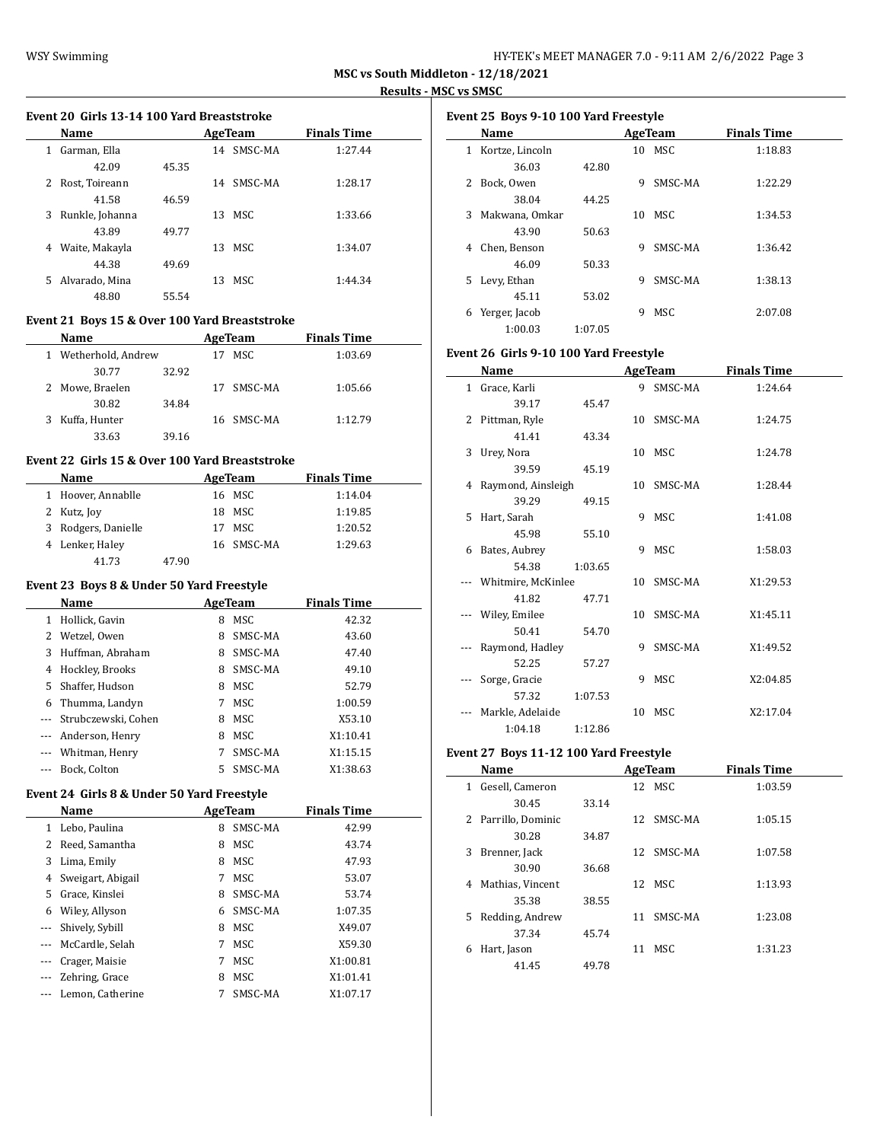#### **Event 20 Girls 13-14 100 Yard Breaststroke**

| <b>Name</b>          |       | AgeTeam |         | <b>Finals Time</b> |  |
|----------------------|-------|---------|---------|--------------------|--|
| Garman, Ella<br>1    |       | 14      | SMSC-MA | 1:27.44            |  |
| 42.09                | 45.35 |         |         |                    |  |
| 2 Rost, Toireann     |       | 14      | SMSC-MA | 1:28.17            |  |
| 41.58                | 46.59 |         |         |                    |  |
| Runkle, Johanna<br>3 |       |         | 13 MSC  | 1:33.66            |  |
| 43.89                | 49.77 |         |         |                    |  |
| Waite, Makayla<br>4  |       |         | 13 MSC  | 1:34.07            |  |
| 44.38                | 49.69 |         |         |                    |  |
| 5 Alvarado, Mina     |       | 13      | MSC.    | 1:44.34            |  |
| 48.80                | 55.54 |         |         |                    |  |
|                      |       |         |         |                    |  |

### **Event 21 Boys 15 & Over 100 Yard Breaststroke**

|    | <b>Name</b>        |       | AgeTeam    | <b>Finals Time</b> |  |
|----|--------------------|-------|------------|--------------------|--|
| 1. | Wetherhold, Andrew | 17    | MSC        | 1:03.69            |  |
|    | 30.77              | 32.92 |            |                    |  |
|    | 2 Mowe, Braelen    | 17    | SMSC-MA    | 1:05.66            |  |
|    | 30.82              | 34.84 |            |                    |  |
| 3  | Kuffa, Hunter      |       | 16 SMSC-MA | 1:12.79            |  |
|    | 33.63              | 39.16 |            |                    |  |
|    |                    |       |            |                    |  |

# **Event 22 Girls 15 & Over 100 Yard Breaststroke**

| <b>Name</b>         |       | AgeTeam    | <b>Finals Time</b> |  |
|---------------------|-------|------------|--------------------|--|
| 1 Hoover, Annablle  |       | 16 MSC     | 1:14.04            |  |
| 2 Kutz, Joy         |       | 18 MSC     | 1:19.85            |  |
| 3 Rodgers, Danielle |       | 17 MSC     | 1:20.52            |  |
| 4 Lenker, Haley     |       | 16 SMSC-MA | 1:29.63            |  |
| 41.73               | 47.90 |            |                    |  |

#### **Event 23 Boys 8 & Under 50 Yard Freestyle**

| Name     |                     |    | AgeTeam | <b>Finals Time</b> |
|----------|---------------------|----|---------|--------------------|
| 1        | Hollick, Gavin      | 8  | MSC     | 42.32              |
| 2        | Wetzel, Owen        | 8  | SMSC-MA | 43.60              |
| 3        | Huffman, Abraham    | 8  | SMSC-MA | 47.40              |
| 4        | Hockley, Brooks     | 8  | SMSC-MA | 49.10              |
| 5        | Shaffer, Hudson     | 8  | MSC.    | 52.79              |
| 6        | Thumma, Landyn      |    | MSC.    | 1:00.59            |
| $\cdots$ | Strubczewski, Cohen | 8  | MSC     | X53.10             |
| $\cdots$ | Anderson, Henry     | 8  | MSC.    | X1:10.41           |
| $\cdots$ | Whitman, Henry      |    | SMSC-MA | X1:15.15           |
|          | Bock, Colton        | 5. | SMSC-MA | X1:38.63           |

### **Event 24 Girls 8 & Under 50 Yard Freestyle**

|          | Name              | AgeTeam |         | <b>Finals Time</b> |
|----------|-------------------|---------|---------|--------------------|
| 1        | Lebo, Paulina     | 8       | SMSC-MA | 42.99              |
| 2        | Reed, Samantha    | 8       | MSC     | 43.74              |
| 3        | Lima, Emily       | 8       | MSC     | 47.93              |
| 4        | Sweigart, Abigail | 7       | MSC     | 53.07              |
| 5        | Grace, Kinslei    | 8       | SMSC-MA | 53.74              |
| 6        | Wiley, Allyson    | 6       | SMSC-MA | 1:07.35            |
| $\cdots$ | Shively, Sybill   | 8       | MSC     | X49.07             |
|          | McCardle, Selah   | 7       | MSC     | X59.30             |
|          | Crager, Maisie    | 7       | MSC     | X1:00.81           |
|          | Zehring, Grace    | 8       | MSC     | X1:01.41           |
|          | Lemon, Catherine  |         | SMSC-MA | X1:07.17           |

|    | Name            |         |    | AgeTeam | <b>Finals Time</b> |
|----|-----------------|---------|----|---------|--------------------|
| 1  | Kortze, Lincoln |         |    | 10 MSC  | 1:18.83            |
|    | 36.03           | 42.80   |    |         |                    |
| 2  | Bock, Owen      |         | 9  | SMSC-MA | 1:22.29            |
|    | 38.04           | 44.25   |    |         |                    |
| 3  | Makwana, Omkar  |         | 10 | MSC.    | 1:34.53            |
|    | 43.90           | 50.63   |    |         |                    |
| 4  | Chen, Benson    |         | 9  | SMSC-MA | 1:36.42            |
|    | 46.09           | 50.33   |    |         |                    |
| 5. | Levy, Ethan     |         | 9  | SMSC-MA | 1:38.13            |
|    | 45.11           | 53.02   |    |         |                    |
| 6  | Yerger, Jacob   |         | 9  | MSC.    | 2:07.08            |
|    | 1:00.03         | 1:07.05 |    |         |                    |

#### **Event 26 Girls 9-10 100 Yard Freestyle**

|              | Name                 |         |    | AgeTeam    | <b>Finals Time</b> |  |
|--------------|----------------------|---------|----|------------|--------------------|--|
| $\mathbf{1}$ | Grace, Karli         |         | 9  | SMSC-MA    | 1:24.64            |  |
|              | 39.17                | 45.47   |    |            |                    |  |
| 2            | Pittman, Ryle        |         |    | 10 SMSC-MA | 1:24.75            |  |
|              | 41.41                | 43.34   |    |            |                    |  |
| 3            | Urey, Nora           |         |    | 10 MSC     | 1:24.78            |  |
|              | 39.59                | 45.19   |    |            |                    |  |
|              | 4 Raymond, Ainsleigh |         |    | 10 SMSC-MA | 1:28.44            |  |
|              | 39.29                | 49.15   |    |            |                    |  |
| 5            | Hart, Sarah          |         |    | 9 MSC      | 1:41.08            |  |
|              | 45.98                | 55.10   |    |            |                    |  |
| 6            | Bates, Aubrey        |         | 9  | MSC        | 1:58.03            |  |
|              | 54.38                | 1:03.65 |    |            |                    |  |
|              | Whitmire, McKinlee   |         |    | 10 SMSC-MA | X1:29.53           |  |
|              | 41.82                | 47.71   |    |            |                    |  |
|              | Wiley, Emilee        |         |    | 10 SMSC-MA | X1:45.11           |  |
|              | 50.41                | 54.70   |    |            |                    |  |
|              | Raymond, Hadley      |         | 9  | SMSC-MA    | X1:49.52           |  |
|              | 52.25                | 57.27   |    |            |                    |  |
|              | Sorge, Gracie        |         | 9  | MSC        | X2:04.85           |  |
|              | 57.32                | 1:07.53 |    |            |                    |  |
|              | Markle, Adelaide     |         | 10 | MSC        | X2:17.04           |  |
|              | 1:04.18              | 1:12.86 |    |            |                    |  |

#### **Event 27 Boys 11-12 100 Yard Freestyle**

|    | Name                |       |    | AgeTeam    | <b>Finals Time</b> |  |
|----|---------------------|-------|----|------------|--------------------|--|
| 1  | Gesell, Cameron     |       |    | 12 MSC     | 1:03.59            |  |
|    | 30.45               | 33.14 |    |            |                    |  |
|    | 2 Parrillo, Dominic |       |    | 12 SMSC-MA | 1:05.15            |  |
|    | 30.28               | 34.87 |    |            |                    |  |
| 3  | Brenner, Jack       |       | 12 | SMSC-MA    | 1:07.58            |  |
|    | 30.90               | 36.68 |    |            |                    |  |
| 4  | Mathias, Vincent    |       | 12 | MSC        | 1:13.93            |  |
|    | 35.38               | 38.55 |    |            |                    |  |
| 5. | Redding, Andrew     |       | 11 | SMSC-MA    | 1:23.08            |  |
|    | 37.34               | 45.74 |    |            |                    |  |
| 6  | Hart, Jason         |       | 11 | MSC.       | 1:31.23            |  |
|    | 41.45               | 49.78 |    |            |                    |  |
|    |                     |       |    |            |                    |  |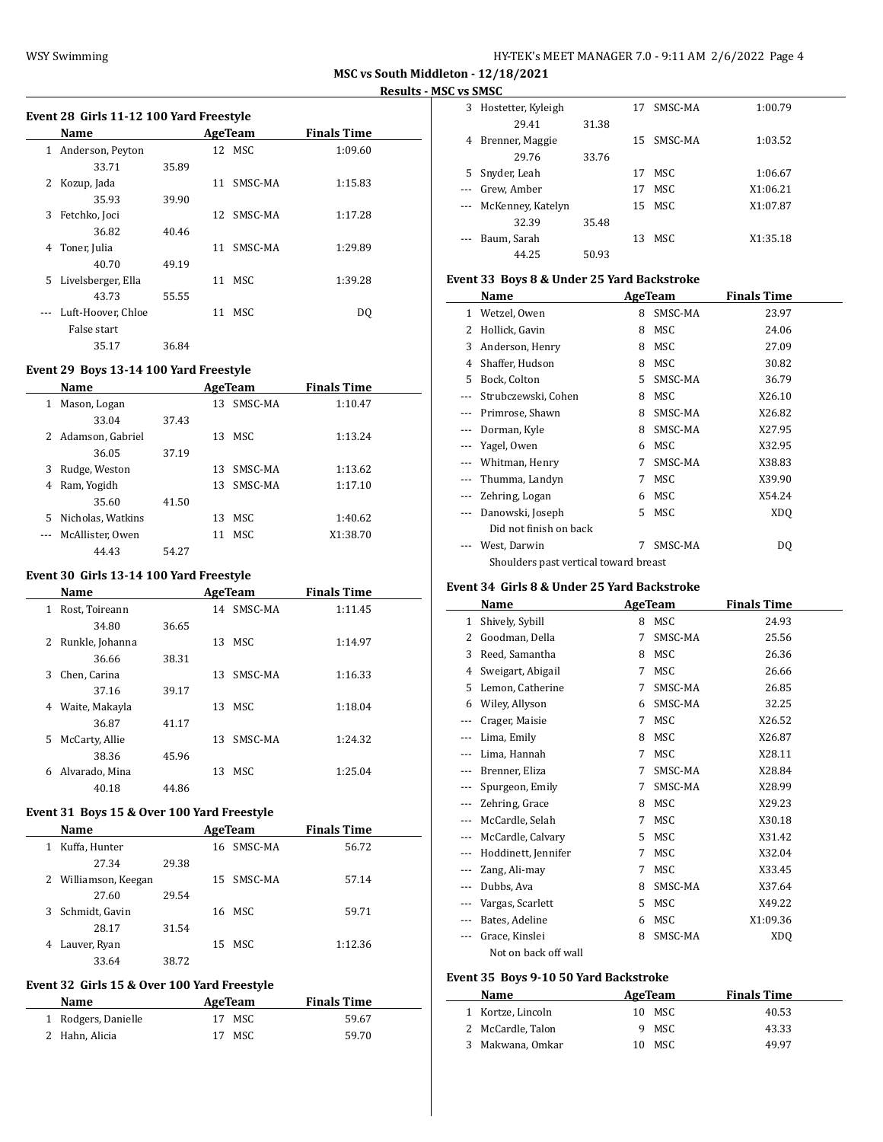$\overline{\phantom{a}}$ 

# **Event 28 Girls 11-12 100 Yard Freestyle**

|   | Name               | AgeTeam |    |         | <b>Finals Time</b> |  |
|---|--------------------|---------|----|---------|--------------------|--|
| 1 | Anderson, Peyton   |         |    | 12 MSC  | 1:09.60            |  |
|   | 33.71              | 35.89   |    |         |                    |  |
| 2 | Kozup, Jada        |         | 11 | SMSC-MA | 1:15.83            |  |
|   | 35.93              | 39.90   |    |         |                    |  |
| 3 | Fetchko, Joci      |         | 12 | SMSC-MA | 1:17.28            |  |
|   | 36.82              | 40.46   |    |         |                    |  |
| 4 | Toner, Julia       |         | 11 | SMSC-MA | 1:29.89            |  |
|   | 40.70              | 49.19   |    |         |                    |  |
| 5 | Livelsberger, Ella |         | 11 | MSC     | 1:39.28            |  |
|   | 43.73              | 55.55   |    |         |                    |  |
|   | Luft-Hoover, Chloe |         | 11 | MSC.    | DO.                |  |
|   | False start        |         |    |         |                    |  |
|   | 35.17              | 36.84   |    |         |                    |  |

### **Event 29 Boys 13-14 100 Yard Freestyle**

|   | <b>Name</b>        |       |    | AgeTeam | <b>Finals Time</b> |  |
|---|--------------------|-------|----|---------|--------------------|--|
| 1 | Mason, Logan       |       | 13 | SMSC-MA | 1:10.47            |  |
|   | 33.04              | 37.43 |    |         |                    |  |
|   | 2 Adamson, Gabriel |       | 13 | MSC.    | 1:13.24            |  |
|   | 36.05              | 37.19 |    |         |                    |  |
| 3 | Rudge, Weston      |       | 13 | SMSC-MA | 1:13.62            |  |
| 4 | Ram, Yogidh        |       | 13 | SMSC-MA | 1:17.10            |  |
|   | 35.60              | 41.50 |    |         |                    |  |
| 5 | Nicholas, Watkins  |       | 13 | MSC.    | 1:40.62            |  |
|   | McAllister. Owen   |       | 11 | MSC.    | X1:38.70           |  |
|   | 44.43              | 54.27 |    |         |                    |  |

# **Event 30 Girls 13-14 100 Yard Freestyle**

| Name                           |       | AgeTeam    | <b>Finals Time</b> |
|--------------------------------|-------|------------|--------------------|
| Rost, Toireann<br>$\mathbf{1}$ |       | 14 SMSC-MA | 1:11.45            |
| 34.80                          | 36.65 |            |                    |
| Runkle, Johanna<br>2           | 13    | MSC.       | 1:14.97            |
| 36.66                          | 38.31 |            |                    |
| Chen, Carina<br>3.             | 13    | SMSC-MA    | 1:16.33            |
| 37.16                          | 39.17 |            |                    |
| Waite, Makayla<br>4            | 13    | MSC        | 1:18.04            |
| 36.87                          | 41.17 |            |                    |
| McCarty, Allie<br>5.           | 13    | SMSC-MA    | 1:24.32            |
| 38.36                          | 45.96 |            |                    |
| Alvarado, Mina<br>6            | 13    | MSC        | 1:25.04            |
| 40.18                          | 44.86 |            |                    |
|                                |       |            |                    |

# **Event 31 Boys 15 & Over 100 Yard Freestyle**

| Name                 |       | AgeTeam    | <b>Finals Time</b> |  |
|----------------------|-------|------------|--------------------|--|
| Kuffa, Hunter<br>1   |       | 16 SMSC-MA | 56.72              |  |
| 27.34                | 29.38 |            |                    |  |
| 2 Williamson, Keegan |       | 15 SMSC-MA | 57.14              |  |
| 27.60                | 29.54 |            |                    |  |
| Schmidt, Gavin<br>3  |       | 16 MSC     | 59.71              |  |
| 28.17                | 31.54 |            |                    |  |
| Lauver, Ryan<br>4    |       | 15 MSC     | 1:12.36            |  |
| 33.64                | 38.72 |            |                    |  |

#### **Event 32 Girls 15 & Over 100 Yard Freestyle**

| Name                | AgeTeam | <b>Finals Time</b> |  |
|---------------------|---------|--------------------|--|
| 1 Rodgers, Danielle | 17 MSC  | 59.67              |  |
| 2 Hahn, Alicia      | 17 MSC  | 59.70              |  |

| 3  | Hostetter, Kyleigh |       | 17 | SMSC-MA    | 1:00.79  |
|----|--------------------|-------|----|------------|----------|
|    | 29.41              | 31.38 |    |            |          |
| 4  | Brenner, Maggie    |       | 15 | SMSC-MA    | 1:03.52  |
|    | 29.76              | 33.76 |    |            |          |
| 5. | Snyder, Leah       |       | 17 | MSC.       | 1:06.67  |
|    | Grew, Amber        |       | 17 | MSC        | X1:06.21 |
|    | McKenney, Katelyn  |       | 15 | MSC        | X1:07.87 |
|    | 32.39              | 35.48 |    |            |          |
|    | Baum, Sarah        |       | 13 | <b>MSC</b> | X1:35.18 |
|    | 44.25              | 50.93 |    |            |          |

#### **Event 33 Boys 8 & Under 25 Yard Backstroke**

|              | Name                                  |    | AgeTeam | <b>Finals Time</b> |
|--------------|---------------------------------------|----|---------|--------------------|
| $\mathbf{1}$ | Wetzel, Owen                          | 8  | SMSC-MA | 23.97              |
| 2            | Hollick, Gavin                        | 8  | MSC     | 24.06              |
| 3            | Anderson, Henry                       | 8  | MSC     | 27.09              |
| 4            | Shaffer, Hudson                       | 8  | MSC     | 30.82              |
| 5.           | Bock, Colton                          | 5. | SMSC-MA | 36.79              |
|              | Strubczewski, Cohen                   | 8  | MSC     | X26.10             |
|              | Primrose, Shawn                       | 8  | SMSC-MA | X26.82             |
|              | Dorman, Kyle                          | 8  | SMSC-MA | X27.95             |
|              | Yagel, Owen                           | 6  | MSC     | X32.95             |
|              | Whitman, Henry                        | 7  | SMSC-MA | X38.83             |
|              | Thumma, Landyn                        | 7  | MSC     | X39.90             |
|              | Zehring, Logan                        | 6  | MSC     | X54.24             |
|              | Danowski, Joseph                      | 5  | MSC     | XDO                |
|              | Did not finish on back                |    |         |                    |
|              | West, Darwin                          | 7  | SMSC-MA | DQ                 |
|              | Shoulders past vertical toward breast |    |         |                    |

# **Event 34 Girls 8 & Under 25 Yard Backstroke**

|       | Name                 |   | <b>AgeTeam</b> | <b>Finals Time</b> |  |
|-------|----------------------|---|----------------|--------------------|--|
| 1     | Shively, Sybill      | 8 | MSC            | 24.93              |  |
| 2     | Goodman, Della       | 7 | SMSC-MA        | 25.56              |  |
| 3     | Reed, Samantha       | 8 | <b>MSC</b>     | 26.36              |  |
| 4     | Sweigart, Abigail    | 7 | <b>MSC</b>     | 26.66              |  |
| 5     | Lemon, Catherine     | 7 | SMSC-MA        | 26.85              |  |
| 6     | Wiley, Allyson       | 6 | SMSC-MA        | 32.25              |  |
|       | Crager, Maisie       | 7 | <b>MSC</b>     | X26.52             |  |
|       | Lima, Emily          | 8 | MSC            | X26.87             |  |
|       | Lima, Hannah         | 7 | <b>MSC</b>     | X28.11             |  |
| ---   | Brenner, Eliza       | 7 | SMSC-MA        | X28.84             |  |
|       | Spurgeon, Emily      | 7 | SMSC-MA        | X28.99             |  |
|       | Zehring, Grace       | 8 | MSC            | X29.23             |  |
|       | McCardle, Selah      | 7 | <b>MSC</b>     | X30.18             |  |
| $---$ | McCardle, Calvary    | 5 | MSC            | X31.42             |  |
|       | Hoddinett, Jennifer  | 7 | <b>MSC</b>     | X32.04             |  |
|       | Zang, Ali-may        | 7 | MSC            | X33.45             |  |
| ---   | Dubbs, Ava           | 8 | SMSC-MA        | X37.64             |  |
|       | Vargas, Scarlett     | 5 | MSC            | X49.22             |  |
|       | Bates, Adeline       | 6 | MSC            | X1:09.36           |  |
|       | Grace, Kinslei       | 8 | SMSC-MA        | <b>XDQ</b>         |  |
|       | Not on back off wall |   |                |                    |  |

#### **Event 35 Boys 9-10 50 Yard Backstroke**

 $\overline{\phantom{a}}$ 

| Name                | AgeTeam     | <b>Finals Time</b> |
|---------------------|-------------|--------------------|
| 1 Kortze, Lincoln   | 10 MSC      | 40.53              |
| 2 McCardle, Talon   | 9 MSC       | 43.33              |
| Makwana, Omkar<br>3 | MSC.<br>10. | 49.97              |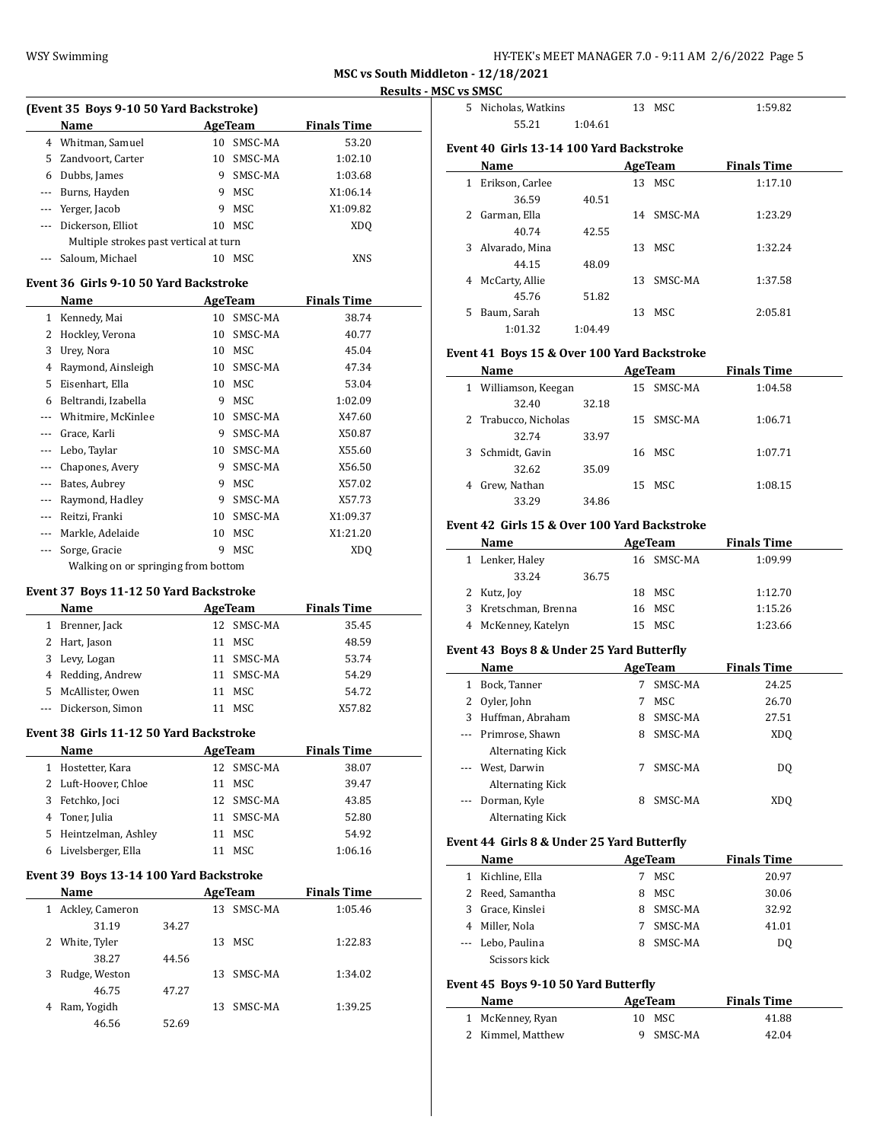|                                                                                                |                                                      |       |    |                |                    | <u>Results</u> |
|------------------------------------------------------------------------------------------------|------------------------------------------------------|-------|----|----------------|--------------------|----------------|
|                                                                                                | (Event 35 Boys 9-10 50 Yard Backstroke)              |       |    |                |                    |                |
|                                                                                                | Name                                                 |       |    | AgeTeam        | <b>Finals Time</b> |                |
|                                                                                                | 4 Whitman, Samuel                                    |       | 10 | SMSC-MA        | 53.20              |                |
|                                                                                                | 5 Zandvoort, Carter                                  |       |    | 10 SMSC-MA     | 1:02.10            |                |
|                                                                                                | 6 Dubbs, James                                       |       |    | 9 SMSC-MA      | 1:03.68            |                |
|                                                                                                | --- Burns, Hayden                                    |       |    | 9 MSC          | X1:06.14           |                |
|                                                                                                | --- Yerger, Jacob                                    |       |    | 9 MSC          | X1:09.82           |                |
| ---                                                                                            | Dickerson, Elliot                                    |       |    | 10 MSC         | <b>XDQ</b>         |                |
|                                                                                                | Multiple strokes past vertical at turn               |       |    |                |                    |                |
| $---$                                                                                          | Saloum, Michael                                      |       | 10 | MSC            | XNS                |                |
|                                                                                                | Event 36 Girls 9-10 50 Yard Backstroke               |       |    |                |                    |                |
|                                                                                                | Name                                                 |       |    | <b>AgeTeam</b> | <b>Finals Time</b> |                |
|                                                                                                | 1 Kennedy, Mai                                       |       |    | 10 SMSC-MA     | 38.74              |                |
|                                                                                                | 2 Hockley, Verona                                    |       |    | 10 SMSC-MA     | 40.77              |                |
| 3                                                                                              | Urey, Nora                                           |       |    | 10 MSC         | 45.04              |                |
| 4                                                                                              | Raymond, Ainsleigh                                   |       |    | 10 SMSC-MA     | 47.34              |                |
| 5                                                                                              | Eisenhart, Ella                                      |       |    | 10 MSC         | 53.04              |                |
| 6                                                                                              | Beltrandi, Izabella                                  |       |    | 9 MSC          | 1:02.09            |                |
|                                                                                                | --- Whitmire, McKinlee                               |       |    | 10 SMSC-MA     | X47.60             |                |
| $---$                                                                                          | Grace, Karli                                         |       |    | 9 SMSC-MA      | X50.87             |                |
| ---                                                                                            | Lebo, Taylar                                         |       |    | 10 SMSC-MA     | X55.60             |                |
| ---                                                                                            | Chapones, Avery                                      |       |    | 9 SMSC-MA      | X56.50             |                |
| $---$                                                                                          | Bates, Aubrey                                        |       |    | 9 MSC          | X57.02             |                |
| $\overline{\phantom{a}}$                                                                       | Raymond, Hadley                                      |       |    | 9 SMSC-MA      | X57.73             |                |
| $\cdots$                                                                                       | Reitzi, Franki                                       |       |    | 10 SMSC-MA     | X1:09.37           |                |
| ---                                                                                            | Markle, Adelaide                                     |       | 10 | MSC            | X1:21.20           |                |
| ---                                                                                            |                                                      |       | 9  | <b>MSC</b>     |                    |                |
|                                                                                                | Sorge, Gracie<br>Walking on or springing from bottom |       |    |                | <b>XDQ</b>         |                |
|                                                                                                |                                                      |       |    |                |                    |                |
|                                                                                                | Event 37 Boys 11-12 50 Yard Backstroke               |       |    |                |                    |                |
|                                                                                                | Name                                                 |       |    | <b>AgeTeam</b> | <b>Finals Time</b> |                |
|                                                                                                | 1 Brenner, Jack                                      |       |    | 12 SMSC-MA     | 35.45              |                |
|                                                                                                | 2 Hart, Jason                                        |       |    | 11 MSC         | 48.59              |                |
| 3                                                                                              | Levy, Logan                                          |       |    | 11 SMSC-MA     | 53.74              |                |
|                                                                                                | 4 Redding, Andrew                                    |       |    | 11 SMSC-MA     | 54.29              |                |
|                                                                                                | 5 McAllister, Owen                                   |       |    | 11 MSC         | 54.72              |                |
| $\frac{1}{2} \left( \frac{1}{2} \right) \left( \frac{1}{2} \right) \left( \frac{1}{2} \right)$ | Dickerson, Simon                                     |       |    | 11 MSC         | X57.82             |                |
|                                                                                                | Event 38  Girls 11-12 50 Yard Backstroke             |       |    |                |                    |                |
|                                                                                                | <b>Name</b>                                          |       |    | AgeTeam        | <b>Finals Time</b> |                |
| $\mathbf{1}$                                                                                   | Hostetter, Kara                                      |       |    | 12 SMSC-MA     | 38.07              |                |
| 2                                                                                              | Luft-Hoover, Chloe                                   |       |    | 11 MSC         | 39.47              |                |
|                                                                                                | 3 Fetchko, Joci                                      |       |    | 12 SMSC-MA     | 43.85              |                |
|                                                                                                | 4 Toner, Julia                                       |       |    | 11 SMSC-MA     | 52.80              |                |
|                                                                                                | 5 Heintzelman, Ashley                                |       |    | 11 MSC         | 54.92              |                |
| 6                                                                                              | Livelsberger, Ella                                   |       |    | 11 MSC         | 1:06.16            |                |
|                                                                                                | Event 39 Boys 13-14 100 Yard Backstroke              |       |    |                |                    |                |
|                                                                                                | Name                                                 |       |    | <b>AgeTeam</b> | <b>Finals Time</b> |                |
| $\mathbf{1}$                                                                                   | Ackley, Cameron                                      |       |    | 13 SMSC-MA     | 1:05.46            |                |
|                                                                                                | 31.19                                                | 34.27 |    |                |                    |                |
| 2                                                                                              | White, Tyler                                         |       |    | 13 MSC         | 1:22.83            |                |
|                                                                                                | 38.27                                                | 44.56 |    |                |                    |                |
| 3                                                                                              | Rudge, Weston                                        |       | 13 | SMSC-MA        | 1:34.02            |                |
|                                                                                                | 46.75                                                | 47.27 |    |                |                    |                |
| 4                                                                                              | Ram, Yogidh                                          |       |    | 13 SMSC-MA     | 1:39.25            |                |
|                                                                                                | 46.56                                                |       |    |                |                    |                |
|                                                                                                |                                                      | 52.69 |    |                |                    |                |

| 5. | Nicholas, Watkins                        |         |    | 13 MSC  | 1:59.82            |
|----|------------------------------------------|---------|----|---------|--------------------|
|    | 55.21                                    | 1:04.61 |    |         |                    |
|    | Event 40 Girls 13-14 100 Yard Backstroke |         |    |         |                    |
|    | Name                                     |         |    | AgeTeam | <b>Finals Time</b> |
| 1  | Erikson, Carlee                          |         |    | 13 MSC  | 1:17.10            |
|    | 36.59                                    | 40.51   |    |         |                    |
| 2  | Garman, Ella                             |         | 14 | SMSC-MA | 1:23.29            |
|    | 40.74                                    | 42.55   |    |         |                    |
| 3  | Alvarado, Mina                           |         | 13 | MSC     | 1:32.24            |
|    | 44.15                                    | 48.09   |    |         |                    |
| 4  | McCarty, Allie                           |         | 13 | SMSC-MA | 1:37.58            |
|    | 45.76                                    | 51.82   |    |         |                    |
| 5  | Baum, Sarah                              |         | 13 | MSC     | 2:05.81            |
|    | 1:01.32                                  | 1:04.49 |    |         |                    |
|    |                                          |         |    |         |                    |

#### **Event 41 Boys 15 & Over 100 Yard Backstroke**

|   | Name                 |       |    | AgeTeam    | <b>Finals Time</b> |  |
|---|----------------------|-------|----|------------|--------------------|--|
| 1 | Williamson, Keegan   |       |    | 15 SMSC-MA | 1:04.58            |  |
|   | 32.40                | 32.18 |    |            |                    |  |
|   | 2 Trabucco, Nicholas |       |    | 15 SMSC-MA | 1:06.71            |  |
|   | 32.74                | 33.97 |    |            |                    |  |
|   | 3 Schmidt, Gavin     |       |    | 16 MSC     | 1:07.71            |  |
|   | 32.62                | 35.09 |    |            |                    |  |
| 4 | Grew, Nathan         |       | 15 | MSC        | 1:08.15            |  |
|   | 33.29                | 34.86 |    |            |                    |  |

#### **Event 42 Girls 15 & Over 100 Yard Backstroke**

| Name                 |       | AgeTeam    | <b>Finals Time</b> |
|----------------------|-------|------------|--------------------|
| 1 Lenker, Haley      |       | 16 SMSC-MA | 1:09.99            |
| 33.24                | 36.75 |            |                    |
| 2 Kutz, Joy          |       | 18 MSC     | 1:12.70            |
| 3 Kretschman, Brenna |       | 16 MSC     | 1:15.26            |
| 4 McKenney, Katelyn  |       | 15 MSC     | 1:23.66            |

### **Event 43 Boys 8 & Under 25 Yard Butterfly**

| Name     |                     |   | AgeTeam    | <b>Finals Time</b> |  |
|----------|---------------------|---|------------|--------------------|--|
| 1        | Bock, Tanner        |   | SMSC-MA    | 24.25              |  |
|          | 2 Oyler, John       | 7 | <b>MSC</b> | 26.70              |  |
| 3        | Huffman, Abraham    | 8 | SMSC-MA    | 27.51              |  |
|          | --- Primrose, Shawn | 8 | SMSC-MA    | XD <sub>0</sub>    |  |
|          | Alternating Kick    |   |            |                    |  |
| $\cdots$ | West, Darwin        |   | SMSC-MA    | DO.                |  |
|          | Alternating Kick    |   |            |                    |  |
| $\cdots$ | Dorman, Kyle        | 8 | SMSC-MA    | XDO                |  |
|          | Alternating Kick    |   |            |                    |  |

### **Event 44 Girls 8 & Under 25 Yard Butterfly**

|   | Name              |   | AgeTeam | <b>Finals Time</b> |
|---|-------------------|---|---------|--------------------|
| 1 | Kichline, Ella    |   | MSC     | 20.97              |
|   | 2 Reed, Samantha  | 8 | MSC.    | 30.06              |
|   | 3 Grace, Kinslei  | 8 | SMSC-MA | 32.92              |
|   | 4 Miller, Nola    | 7 | SMSC-MA | 41.01              |
|   | --- Lebo, Paulina | 8 | SMSC-MA | DO                 |
|   | Scissors kick     |   |         |                    |

# **Event 45 Boys 9-10 50 Yard Butterfly**

 $\overline{a}$ 

| Name              | AgeTeam   | <b>Finals Time</b> |  |
|-------------------|-----------|--------------------|--|
| 1 McKenney, Ryan  | 10 MSC    | 41.88              |  |
| 2 Kimmel, Matthew | 9 SMSC-MA | 42.04              |  |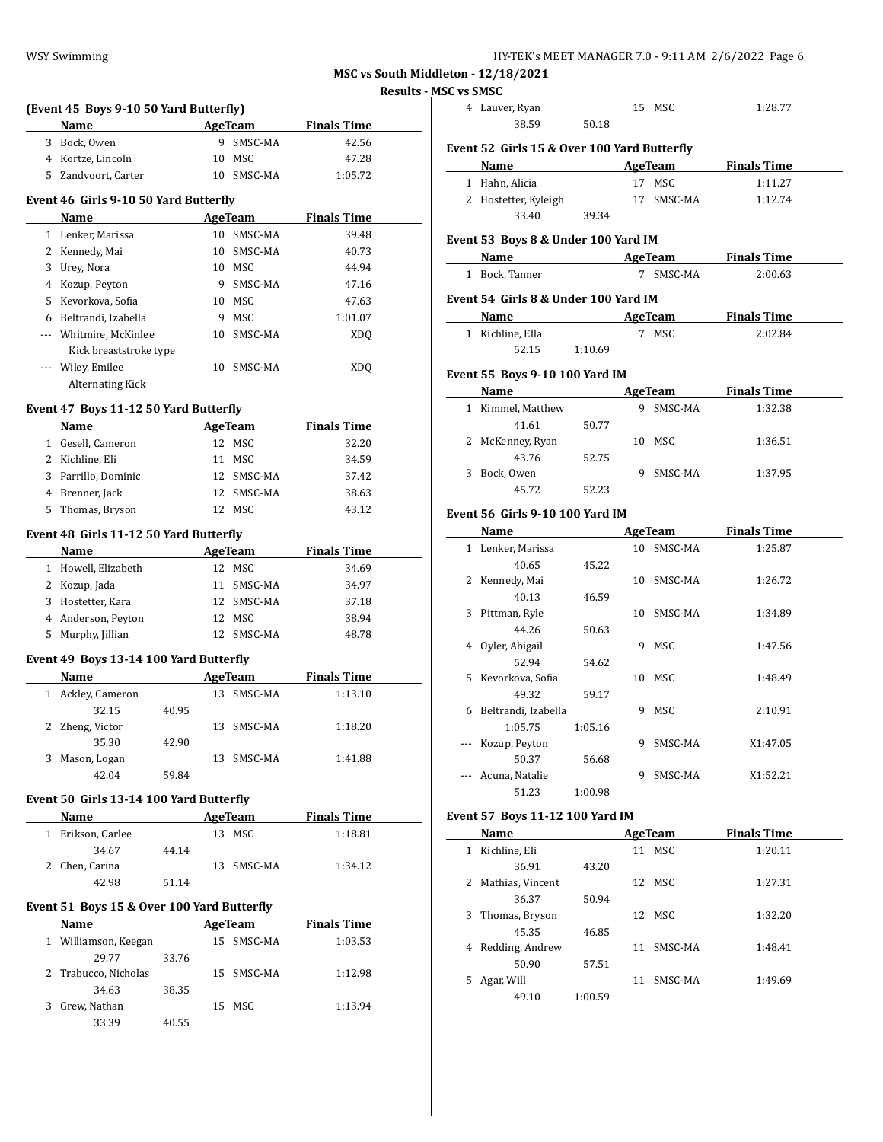| IY-TEK's MEET MANAGER 7.0 - 9:11 AM  2/6/2022  Page 6 |  |  |
|-------------------------------------------------------|--|--|
|-------------------------------------------------------|--|--|

**MSC vs South Middleton - 12/18/2021**

# **Results - MSC v**

|                                            |       |                          |                     | <u> Kesults - M</u> |
|--------------------------------------------|-------|--------------------------|---------------------|---------------------|
| (Event 45 Boys 9-10 50 Yard Butterfly)     |       |                          |                     |                     |
| Name                                       |       |                          | AgeTeam Finals Time |                     |
| 3 Bock, Owen                               |       | 9 SMSC-MA                | 42.56               |                     |
| 4 Kortze, Lincoln                          |       | 10 MSC                   | 47.28               |                     |
| 5 Zandvoort, Carter                        |       | 10 SMSC-MA               | 1:05.72             |                     |
| Event 46 Girls 9-10 50 Yard Butterfly      |       |                          |                     |                     |
| Name                                       |       | <b>Example 2</b> AgeTeam | <b>Finals Time</b>  |                     |
| 1 Lenker, Marissa                          |       | 10 SMSC-MA               | 39.48               |                     |
| 2 Kennedy, Mai                             |       | 10 SMSC-MA               | 40.73               |                     |
| 3 Urey, Nora                               |       | 10 MSC                   | 44.94               |                     |
| 4 Kozup, Peyton                            |       | 9 SMSC-MA                | 47.16               |                     |
| 5 Kevorkova, Sofia                         |       | 10 MSC                   | 47.63               |                     |
| 6 Beltrandi, Izabella                      |       | 9 MSC                    | 1:01.07             |                     |
| --- Whitmire, McKinlee                     |       | 10 SMSC-MA               | <b>XDQ</b>          |                     |
| Kick breaststroke type                     |       |                          |                     |                     |
| --- Wiley, Emilee                          |       | 10 SMSC-MA               | <b>XDQ</b>          |                     |
| <b>Alternating Kick</b>                    |       |                          |                     |                     |
|                                            |       |                          |                     |                     |
| Event 47 Boys 11-12 50 Yard Butterfly      |       |                          |                     |                     |
|                                            |       | AgeTeam                  | <b>Finals Time</b>  |                     |
| 1 Gesell, Cameron                          |       | 12 MSC                   | 32.20               |                     |
| 2 Kichline, Eli                            |       | 11 MSC                   | 34.59               |                     |
| 3 Parrillo, Dominic                        |       | 12 SMSC-MA               | 37.42               |                     |
| 4 Brenner, Jack                            |       | 12 SMSC-MA               | 38.63               |                     |
| 5 Thomas, Bryson                           |       | 12 MSC                   | 43.12               |                     |
| Event 48 Girls 11-12 50 Yard Butterfly     |       |                          |                     |                     |
| Name                                       |       | <b>AgeTeam</b>           | <b>Finals Time</b>  |                     |
| 1 Howell, Elizabeth                        |       | 12 MSC                   | 34.69               |                     |
| 2 Kozup, Jada                              |       | 11 SMSC-MA               | 34.97               |                     |
| 3 Hostetter, Kara                          |       | 12 SMSC-MA               | 37.18               |                     |
| 4 Anderson, Peyton                         |       | 12 MSC                   | 38.94               |                     |
| 5 Murphy, Jillian                          |       | 12 SMSC-MA               | 48.78               |                     |
|                                            |       |                          |                     |                     |
| Event 49 Boys 13-14 100 Yard Butterfly     |       |                          |                     |                     |
| Name<br>the control of the control of the  |       | <b>AgeTeam</b>           | <b>Finals Time</b>  |                     |
| 1 Ackley, Cameron                          |       | 13 SMSC-MA               | 1:13.10             |                     |
| 32.15                                      | 40.95 |                          |                     |                     |
| 2 Zheng, Victor                            |       | 13 SMSC-MA               | 1:18.20             |                     |
| 35.30                                      | 42.90 |                          |                     |                     |
| 3 Mason, Logan                             |       | 13 SMSC-MA               | 1:41.88             |                     |
| 42.04                                      | 59.84 |                          |                     |                     |
| Event 50 Girls 13-14 100 Yard Butterfly    |       |                          |                     |                     |
| Name                                       |       | AgeTeam                  | <b>Finals Time</b>  |                     |
| 1 Erikson, Carlee                          |       | 13 MSC                   | 1:18.81             |                     |
| 34.67                                      | 44.14 |                          |                     |                     |
| 2 Chen, Carina                             |       | 13 SMSC-MA               | 1:34.12             |                     |
| 42.98                                      | 51.14 |                          |                     |                     |
|                                            |       |                          |                     |                     |
| Event 51 Boys 15 & Over 100 Yard Butterfly |       |                          |                     |                     |
| Name                                       |       | <b>AgeTeam</b>           | <b>Finals Time</b>  |                     |
| 1 Williamson, Keegan                       |       | 15 SMSC-MA               | 1:03.53             |                     |
| 29.77                                      | 33.76 |                          |                     |                     |
| 2 Trabucco, Nicholas                       |       | 15 SMSC-MA               | 1:12.98             |                     |
| 34.63                                      | 38.35 |                          |                     |                     |
| 3 Grew, Nathan                             |       | 15 MSC                   | 1:13.94             |                     |
| 33.39                                      | 40.55 |                          |                     |                     |
|                                            |       |                          |                     |                     |

|   | <b>SC vs SMSC</b><br>4 Lauver, Ryan                                                                                                                                                                                           |         | 15 MSC     | 1:28.77             |  |
|---|-------------------------------------------------------------------------------------------------------------------------------------------------------------------------------------------------------------------------------|---------|------------|---------------------|--|
|   | 38.59                                                                                                                                                                                                                         | 50.18   |            |                     |  |
|   | Event 52 Girls 15 & Over 100 Yard Butterfly                                                                                                                                                                                   |         |            |                     |  |
|   | Name AgeTeam Finals Time                                                                                                                                                                                                      |         |            |                     |  |
|   | 1 Hahn, Alicia                                                                                                                                                                                                                |         | 17 MSC     | 1:11.27             |  |
|   | 2 Hostetter, Kyleigh                                                                                                                                                                                                          |         | 17 SMSC-MA | 1:12.74             |  |
|   | 33.40                                                                                                                                                                                                                         | 39.34   |            |                     |  |
|   |                                                                                                                                                                                                                               |         |            |                     |  |
|   | Event 53 Boys 8 & Under 100 Yard IM<br>Name AgeTeam Finals Time                                                                                                                                                               |         |            |                     |  |
|   |                                                                                                                                                                                                                               |         |            |                     |  |
|   | 1 Bock, Tanner                                                                                                                                                                                                                |         | 7 SMSC-MA  | 2:00.63             |  |
|   | Event 54 Girls 8 & Under 100 Yard IM                                                                                                                                                                                          |         |            |                     |  |
|   | Name AgeTeam Finals Time                                                                                                                                                                                                      |         |            |                     |  |
|   | 1 Kichline, Ella                                                                                                                                                                                                              |         | 7 MSC      | 2:02.84             |  |
|   | 52.15 1:10.69                                                                                                                                                                                                                 |         |            |                     |  |
|   | Event 55 Boys 9-10 100 Yard IM                                                                                                                                                                                                |         |            |                     |  |
|   | Name                                                                                                                                                                                                                          |         |            | AgeTeam Finals Time |  |
|   | 1 Kimmel, Matthew                                                                                                                                                                                                             |         | 9 SMSC-MA  | 1:32.38             |  |
|   | 41.61                                                                                                                                                                                                                         | 50.77   |            |                     |  |
|   | 2 McKenney, Ryan                                                                                                                                                                                                              |         | 10 MSC     | 1:36.51             |  |
|   | 43.76                                                                                                                                                                                                                         | 52.75   |            |                     |  |
|   | 3 Bock, Owen                                                                                                                                                                                                                  |         | 9 SMSC-MA  | 1:37.95             |  |
|   | 45.72                                                                                                                                                                                                                         | 52.23   |            |                     |  |
|   | Event 56 Girls 9-10 100 Yard IM                                                                                                                                                                                               |         |            |                     |  |
|   | Name and the same state of the state of the state of the state of the state of the state of the state of the state of the state of the state of the state of the state of the state of the state of the state of the state of |         |            | AgeTeam Finals Time |  |
|   | 1 Lenker, Marissa                                                                                                                                                                                                             |         | 10 SMSC-MA | 1:25.87             |  |
|   | 40.65                                                                                                                                                                                                                         | 45.22   |            |                     |  |
|   | 2 Kennedy, Mai                                                                                                                                                                                                                |         | 10 SMSC-MA | 1:26.72             |  |
|   | 40.13                                                                                                                                                                                                                         | 46.59   |            |                     |  |
|   | 3 Pittman, Ryle                                                                                                                                                                                                               |         | 10 SMSC-MA | 1:34.89             |  |
|   | 44.26                                                                                                                                                                                                                         | 50.63   |            |                     |  |
|   | 4 Oyler, Abigail                                                                                                                                                                                                              |         | 9 MSC      | 1:47.56             |  |
|   | 52.94                                                                                                                                                                                                                         | 54.62   |            |                     |  |
|   | 5 Kevorkova, Sofia                                                                                                                                                                                                            |         | 10 MSC     | 1:48.49             |  |
|   | 49.32                                                                                                                                                                                                                         | 59.17   |            |                     |  |
|   | 6 Beltrandi, Izabella                                                                                                                                                                                                         |         | 9 MSC      | 2:10.91             |  |
|   | 1:05.75                                                                                                                                                                                                                       | 1:05.16 |            |                     |  |
|   | --- Kozup, Peyton                                                                                                                                                                                                             |         | 9 SMSC-MA  | X1:47.05            |  |
|   | 50.37                                                                                                                                                                                                                         | 56.68   |            |                     |  |
|   | --- Acuna, Natalie                                                                                                                                                                                                            |         | 9 SMSC-MA  | X1:52.21            |  |
|   | 51.23                                                                                                                                                                                                                         | 1:00.98 |            |                     |  |
|   |                                                                                                                                                                                                                               |         |            |                     |  |
|   | Event 57 Boys 11-12 100 Yard IM<br>Name                                                                                                                                                                                       |         | AgeTeam    | <b>Finals Time</b>  |  |
|   | 1 Kichline, Eli                                                                                                                                                                                                               |         | 11 MSC     | 1:20.11             |  |
|   | 36.91                                                                                                                                                                                                                         | 43.20   |            |                     |  |
|   | 2 Mathias, Vincent                                                                                                                                                                                                            |         | 12 MSC     | 1:27.31             |  |
|   | 36.37                                                                                                                                                                                                                         | 50.94   |            |                     |  |
| 3 | Thomas, Bryson                                                                                                                                                                                                                |         | 12 MSC     | 1:32.20             |  |
|   | 45.35                                                                                                                                                                                                                         | 46.85   |            |                     |  |
|   | 4 Redding, Andrew                                                                                                                                                                                                             |         | 11 SMSC-MA | 1:48.41             |  |
|   | 50.90                                                                                                                                                                                                                         | 57.51   |            |                     |  |
|   | Agar, Will                                                                                                                                                                                                                    |         | 11 SMSC-MA | 1:49.69             |  |
|   |                                                                                                                                                                                                                               |         |            |                     |  |
| 5 | 49.10                                                                                                                                                                                                                         | 1:00.59 |            |                     |  |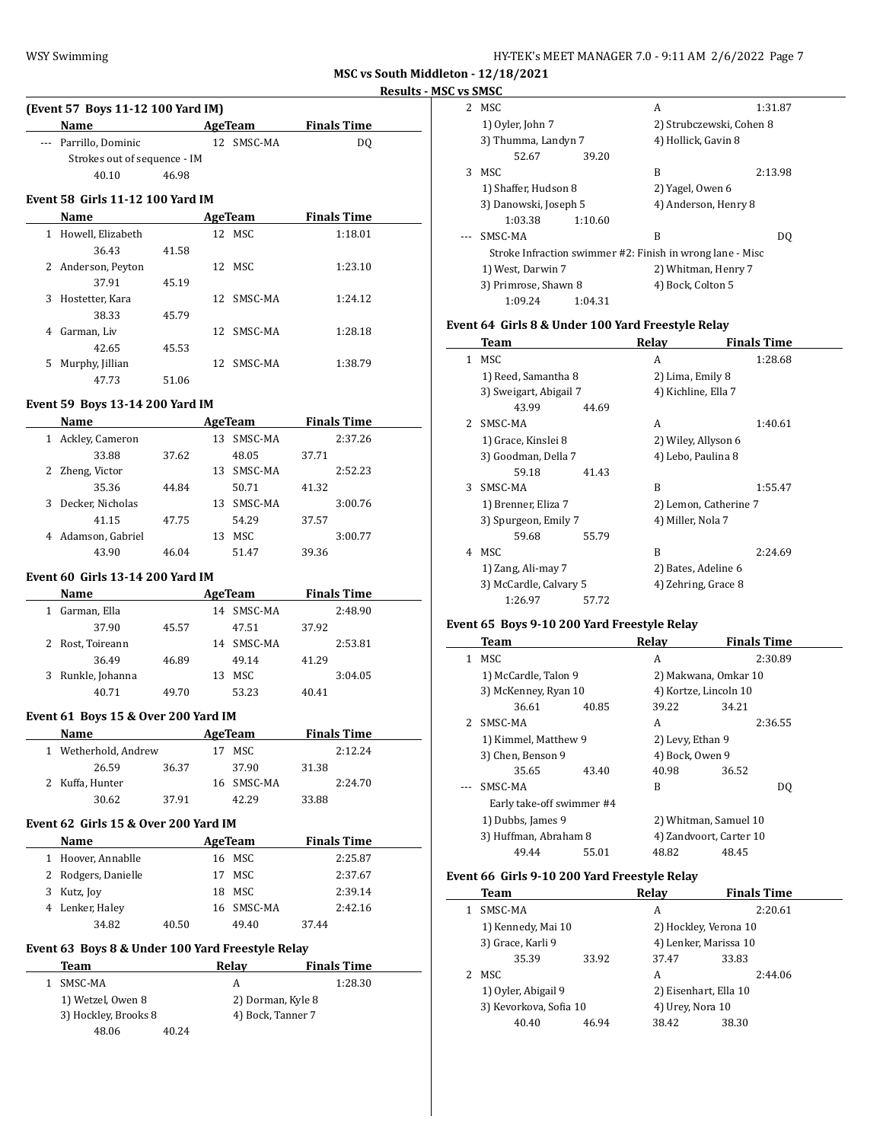| HY-TEK's MEET MANAGER 7.0 - 9:11 AM 2/6/2022 Page 7 |  |  |
|-----------------------------------------------------|--|--|
|-----------------------------------------------------|--|--|

**MSC vs South Middleton - 12/18/2021**

 $\frac{1}{2}$ 

# **Results - MSC vs SMSC**

| (Event 57 Boys 11-12 100 Yard IM) |                                         |       |  |            |                             |  |  |  |  |
|-----------------------------------|-----------------------------------------|-------|--|------------|-----------------------------|--|--|--|--|
|                                   | Name                                    |       |  | AgeTeam    | <b>Finals Time</b>          |  |  |  |  |
|                                   | --- Parrillo, Dominic                   |       |  | 12 SMSC-MA | DO.                         |  |  |  |  |
|                                   | Strokes out of sequence - IM            |       |  |            |                             |  |  |  |  |
|                                   | 40.10                                   | 46.98 |  |            |                             |  |  |  |  |
|                                   | <b>Event 58 Girls 11-12 100 Yard IM</b> |       |  |            |                             |  |  |  |  |
|                                   | Name                                    |       |  | AgeTeam    | <b>Finals Time</b>          |  |  |  |  |
| 1                                 | Howell, Elizabeth                       |       |  | 12 MSC     | 1:18.01                     |  |  |  |  |
|                                   | 36.43                                   | 41.58 |  |            |                             |  |  |  |  |
|                                   | .                                       |       |  |            | $\sim$ $\sim$ $\sim$ $\sim$ |  |  |  |  |

|    | 2 Anderson, Peyton |       | 12 MSC     | 1:23.10 |
|----|--------------------|-------|------------|---------|
|    | 37.91              | 45.19 |            |         |
| 3  | Hostetter, Kara    |       | 12 SMSC-MA | 1:24.12 |
|    | 38.33              | 45.79 |            |         |
|    | Garman, Liv        |       | 12 SMSC-MA | 1:28.18 |
|    | 42.65              | 45.53 |            |         |
| 5. | Murphy, Jillian    |       | 12 SMSC-MA | 1:38.79 |
|    | 47.73              | 51.06 |            |         |

### **Event 59 Boys 13-14 200 Yard IM**

| Name                  |       | AgeTeam |         |       | <b>Finals Time</b> |
|-----------------------|-------|---------|---------|-------|--------------------|
| Ackley, Cameron<br>1  |       | 13      | SMSC-MA |       | 2:37.26            |
| 33.88                 | 37.62 |         | 48.05   | 37.71 |                    |
| Zheng, Victor<br>2    |       | 13      | SMSC-MA |       | 2:52.23            |
| 35.36                 | 44.84 |         | 50.71   | 41.32 |                    |
| Decker, Nicholas<br>3 |       | 13      | SMSC-MA |       | 3:00.76            |
| 41.15                 | 47.75 |         | 54.29   | 37.57 |                    |
| 4 Adamson, Gabriel    |       | 13      | MSC     |       | 3:00.77            |
| 43.90                 | 46.04 |         | 51.47   | 39.36 |                    |

#### **Event 60 Girls 13-14 200 Yard IM**

| <b>Name</b> |                 |       | AgeTeam |            | <b>Finals Time</b> |         |
|-------------|-----------------|-------|---------|------------|--------------------|---------|
|             | Garman, Ella    |       | 14      | SMSC-MA    |                    | 2:48.90 |
|             | 37.90           | 45.57 |         | 47.51      | 37.92              |         |
|             | Rost, Toireann  |       |         | 14 SMSC-MA |                    | 2:53.81 |
|             | 36.49           | 46.89 |         | 49.14      | 41.29              |         |
| 3           | Runkle, Johanna |       | 13      | MSC.       |                    | 3:04.05 |
|             | 40.71           | 49.70 |         | 53.23      | 40.41              |         |

### **Event 61 Boys 15 & Over 200 Yard IM**

| <b>Name</b>        |       | AgeTeam    |       | <b>Finals Time</b> |
|--------------------|-------|------------|-------|--------------------|
| Wetherhold, Andrew |       | MSC.       |       | 2:12.24            |
| 26.59              | 36.37 | 37.90      | 31.38 |                    |
| 2 Kuffa, Hunter    |       | 16 SMSC-MA |       | 2:24.70            |
| 30.62              | 37.91 | 42.29      | 33.88 |                    |

#### **Event 62 Girls 15 & Over 200 Yard IM**

L,

| <b>Name</b>         |       |    | AgeTeam    |       | <b>Finals Time</b> |
|---------------------|-------|----|------------|-------|--------------------|
| 1 Hoover, Annablle  |       |    | 16 MSC     |       | 2:25.87            |
| 2 Rodgers, Danielle |       | 17 | MSC        |       | 2:37.67            |
| 3 Kutz, Joy         |       |    | 18 MSC     |       | 2:39.14            |
| 4 Lenker, Haley     |       |    | 16 SMSC-MA |       | 2:42.16            |
| 34.82               | 40.50 |    | 49.40      | 37.44 |                    |

### **Event 63 Boys 8 & Under 100 Yard Freestyle Relay**

| Team                 |       | Relav             | <b>Finals Time</b> |
|----------------------|-------|-------------------|--------------------|
| SMSC-MA              |       | А                 | 1:28.30            |
| 1) Wetzel, Owen 8    |       | 2) Dorman, Kyle 8 |                    |
| 3) Hockley, Brooks 8 |       | 4) Bock, Tanner 7 |                    |
| 48.06                | 40.24 |                   |                    |

|   | .                     |         |                                                           |         |
|---|-----------------------|---------|-----------------------------------------------------------|---------|
| 2 | MSC                   |         | А                                                         | 1:31.87 |
|   | 1) Oyler, John 7      |         | 2) Strubczewski, Cohen 8                                  |         |
|   | 3) Thumma, Landyn 7   |         | 4) Hollick, Gavin 8                                       |         |
|   | 52.67                 | 39.20   |                                                           |         |
| 3 | MSC.                  |         | B                                                         | 2:13.98 |
|   | 1) Shaffer, Hudson 8  |         | 2) Yagel, Owen 6                                          |         |
|   | 3) Danowski, Joseph 5 |         | 4) Anderson, Henry 8                                      |         |
|   | 1:03.38               | 1:10.60 |                                                           |         |
|   | SMSC-MA               |         | B                                                         | DΟ      |
|   |                       |         | Stroke Infraction swimmer #2: Finish in wrong lane - Misc |         |
|   | 1) West, Darwin 7     |         | 2) Whitman, Henry 7                                       |         |
|   | 3) Primrose, Shawn 8  |         | 4) Bock, Colton 5                                         |         |
|   | 1:09.24               | 1:04.31 |                                                           |         |

# **Event 64 Girls 8 & Under 100 Yard Freestyle Relay**

|               | Team                   |       | Relay                 | <b>Finals Time</b> |
|---------------|------------------------|-------|-----------------------|--------------------|
| 1.            | MSC                    |       | A                     | 1:28.68            |
|               | 1) Reed, Samantha 8    |       | 2) Lima, Emily 8      |                    |
|               | 3) Sweigart, Abigail 7 |       | 4) Kichline, Ella 7   |                    |
|               | 43.99                  | 44.69 |                       |                    |
| $\mathcal{L}$ | SMSC-MA                |       | A                     | 1:40.61            |
|               | 1) Grace, Kinslei 8    |       | 2) Wiley, Allyson 6   |                    |
|               | 3) Goodman, Della 7    |       | 4) Lebo, Paulina 8    |                    |
|               | 59.18                  | 41.43 |                       |                    |
| 3             | SMSC-MA                |       | B                     | 1:55.47            |
|               | 1) Brenner, Eliza 7    |       | 2) Lemon, Catherine 7 |                    |
|               | 3) Spurgeon, Emily 7   |       | 4) Miller, Nola 7     |                    |
|               | 59.68                  | 55.79 |                       |                    |
| 4             | MSC.                   |       | B                     | 2:24.69            |
|               | 1) Zang, Ali-may 7     |       | 2) Bates, Adeline 6   |                    |
|               | 3) McCardle, Calvary 5 |       | 4) Zehring, Grace 8   |                    |
|               | 1:26.97                | 57.72 |                       |                    |

#### **Event 65 Boys 9-10 200 Yard Freestyle Relay**

|              | Team                      |       | Relay                   | <b>Finals Time</b>    |  |
|--------------|---------------------------|-------|-------------------------|-----------------------|--|
| $\mathbf{1}$ | MSC                       |       | A                       | 2:30.89               |  |
|              | 1) McCardle, Talon 9      |       | 2) Makwana, Omkar 10    |                       |  |
|              | 3) McKenney, Ryan 10      |       |                         | 4) Kortze, Lincoln 10 |  |
|              | 36.61                     | 40.85 | 39.22                   | 34.21                 |  |
|              | 2 SMSC-MA                 |       | A                       | 2:36.55               |  |
|              | 1) Kimmel, Matthew 9      |       | 2) Levy, Ethan 9        |                       |  |
|              | 3) Chen, Benson 9         |       | 4) Bock, Owen 9         |                       |  |
|              | 35.65                     | 43.40 | 40.98                   | 36.52                 |  |
|              | SMSC-MA                   |       | B                       | DO.                   |  |
|              | Early take-off swimmer #4 |       |                         |                       |  |
|              | 1) Dubbs, James 9         |       |                         | 2) Whitman, Samuel 10 |  |
|              | 3) Huffman, Abraham 8     |       | 4) Zandvoort, Carter 10 |                       |  |
|              | 49.44                     | 55.01 | 48.82                   | 48.45                 |  |

### **Event 66 Girls 9-10 200 Yard Freestyle Relay**

|                | Team                   |       | Relay            | <b>Finals Time</b>    |  |  |
|----------------|------------------------|-------|------------------|-----------------------|--|--|
|                | SMSC-MA                |       | A                | 2:20.61               |  |  |
|                | 1) Kennedy, Mai 10     |       |                  | 2) Hockley, Verona 10 |  |  |
|                | 3) Grace, Karli 9      |       |                  | 4) Lenker, Marissa 10 |  |  |
|                | 35.39                  | 33.92 | 37.47            | 33.83                 |  |  |
| $\overline{2}$ | MSC                    |       | А                | 2:44.06               |  |  |
|                | 1) Oyler, Abigail 9    |       |                  | 2) Eisenhart, Ella 10 |  |  |
|                | 3) Kevorkova, Sofia 10 |       | 4) Urey, Nora 10 |                       |  |  |
|                | 40.40                  | 46.94 | 38.42            | 38.30                 |  |  |